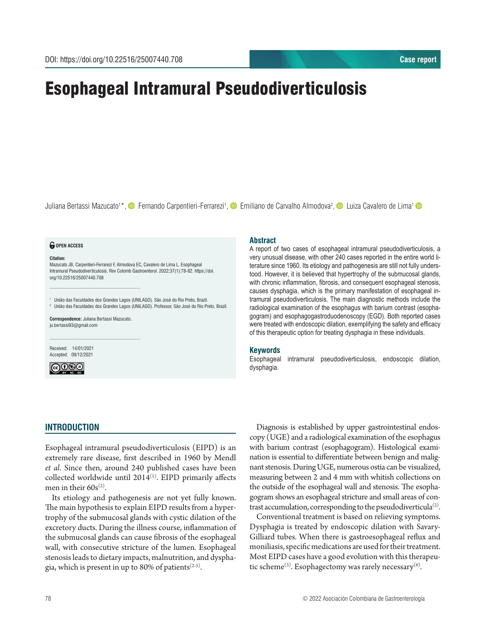# Esophageal Intramural Pseudodiverticulosis

Juliana Bertassi Mazucato<sup>1\*</sup>, © Fernando Carpentieri-Ferrarezi<sup>1</sup>, © Emiliano de Carvalho Almodova<sup>2</sup>, © Luiza Cavalero de Lima<sup>1</sup>

#### *<u>O</del>* OPEN ACCESS</u>

#### **Citation:**

Mazucato JB, Carpentieri-Ferrarezi F, Almodova EC, Cavalero de Lima L. Esophageal Intramural Pseudodiverticulosis. Rev Colomb Gastroenterol. 2022;37(1):78-82. https://doi. org/10.22516/25007440.708

<sup>1</sup> União das Faculdades dos Grandes Lagos (UNILAGO). São José do Rio Preto, Brazil. <sup>2</sup> União das Faculdades dos Grandes Lagos (UNILAGO). Professor, São José do Rio Preto, Brazil.

**Correspondence:** Juliana Bertassi Mazucato. ju.bertassi93@gmail.com

............................................................................

............................................................................

Received: 14/01/2021 Accepted: 09/12/2021



#### **Abstract**

A report of two cases of esophageal intramural pseudodiverticulosis, a very unusual disease, with other 240 cases reported in the entire world literature since 1960. Its etiology and pathogenesis are still not fully understood. However, it is believed that hypertrophy of the submucosal glands, with chronic inflammation, fibrosis, and consequent esophageal stenosis, causes dysphagia, which is the primary manifestation of esophageal intramural pseudodiverticulosis. The main diagnostic methods include the radiological examination of the esophagus with barium contrast (esophagogram) and esophagogastroduodenoscopy (EGD). Both reported cases were treated with endoscopic dilation, exemplifying the safety and efficacy of this therapeutic option for treating dysphagia in these individuals.

#### **Keywords**

Esophageal intramural pseudodiverticulosis, endoscopic dilation, dysphagia.

#### **INTRODUCTION**

Esophageal intramural pseudodiverticulosis (EIPD) is an extremely rare disease, first described in 1960 by Mendl *et al*. Since then, around 240 published cases have been collected worldwide until  $2014$ <sup>(1)</sup>. EIPD primarily affects men in their  $60s^{(2)}$ .

Its etiology and pathogenesis are not yet fully known. The main hypothesis to explain EIPD results from a hypertrophy of the submucosal glands with cystic dilation of the excretory ducts. During the illness course, inflammation of the submucosal glands can cause fibrosis of the esophageal wall, with consecutive stricture of the lumen. Esophageal stenosis leads to dietary impacts, malnutrition, and dysphagia, which is present in up to 80% of patients<sup> $(2-5)$ </sup>.

Diagnosis is established by upper gastrointestinal endoscopy (UGE) and a radiological examination of the esophagus with barium contrast (esophagogram). Histological examination is essential to differentiate between benign and malignant stenosis. During UGE, numerous ostia can be visualized, measuring between 2 and 4 mm with whitish collections on the outside of the esophageal wall and stenosis. The esophagogram shows an esophageal stricture and small areas of contrast accumulation, corresponding to the pseudodiverticula<sup>(2)</sup>.

Conventional treatment is based on relieving symptoms. Dysphagia is treated by endoscopic dilation with Savary-Gilliard tubes. When there is gastroesophageal reflux and moniliasis, specific medications are used for their treatment. Most EIPD cases have a good evolution with this therapeutic scheme<sup>(3)</sup>. Esophagectomy was rarely necessary<sup>(6)</sup>.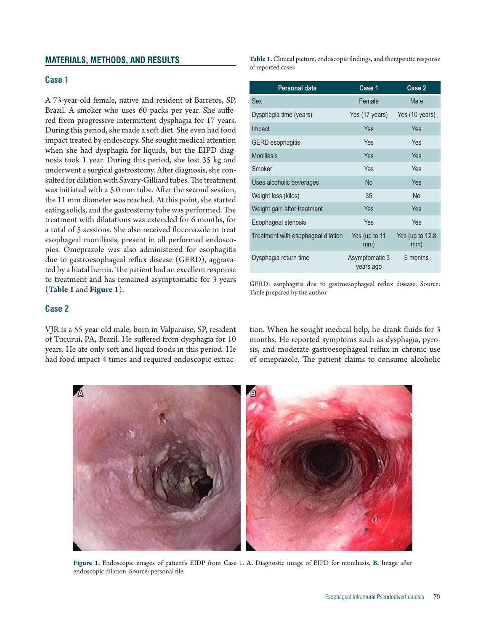### **MATERIALS, METHODS, AND RESULTS**

# **Case 1**

A 73-year-old female, native and resident of Barretos, SP, Brazil. A smoker who uses 60 packs per year. She suffered from progressive intermittent dysphagia for 17 years. During this period, she made a soft diet. She even had food impact treated by endoscopy. She sought medical attention when she had dysphagia for liquids, but the EIPD diagnosis took 1 year. During this period, she lost 35 kg and underwent a surgical gastrostomy. After diagnosis, she consulted for dilation with Savary-Gilliard tubes. The treatment was initiated with a 5.0 mm tube. After the second session, the 11 mm diameter was reached. At this point, she started eating solids, and the gastrostomy tube was performed. The treatment with dilatations was extended for 6 months, for a total of 5 sessions. She also received fluconazole to treat esophageal moniliasis, present in all performed endoscopies. Omeprazole was also administered for esophagitis due to gastroesophageal reflux disease (GERD), aggravated by a hiatal hernia. The patient had an excellent response to treatment and has remained asymptomatic for 3 years (**Table 1** and **Figure 1**).

# **Case 2**

VJR is a 55 year old male, born in Valparaiso, SP, resident of Tucuruí, PA, Brazil. He suffered from dysphagia for 10 years. He ate only soft and liquid foods in this period. He had food impact 4 times and required endoscopic extrac**Table 1.** Clinical picture, endoscopic findings, and therapeutic response of reported cases

| Personal data                      | Case 1                      | Case 2                   |
|------------------------------------|-----------------------------|--------------------------|
| Sex                                | Female                      | Male                     |
| Dysphagia time (years)             | Yes (17 years)              | Yes (10 years)           |
| Impact                             | Yes                         | Yes                      |
| <b>GERD</b> esophagitis            | Yes                         | Yes                      |
| <b>Moniliasis</b>                  | Yes                         | Yes                      |
| Smoker                             | Yes                         | Yes                      |
| Uses alcoholic beverages           | <b>No</b>                   | Yes                      |
| Weight loss (kilos)                | 35                          | <b>No</b>                |
| Weight gain after treatment        | Yes                         | Yes                      |
| Esophageal stenosis                | Yes                         | Yes                      |
| Treatment with esophageal dilation | Yes (up to 11<br>mm)        | Yes (up to $12.8$<br>mm) |
| Dysphagia return time              | Asymptomatic 3<br>years ago | 6 months                 |

GERD: esophagitis due to gastroesophageal reflux disease. Source: Table prepared by the author

tion. When he sought medical help, he drank fluids for 3 months. He reported symptoms such as dysphagia, pyrosis, and moderate gastroesophageal reflux in chronic use of omeprazole. The patient claims to consume alcoholic



**Figure 1.** Endoscopic images of patient's EIDP from Case 1. **A.** Diagnostic image of EIPD for moniliasis. **B.** Image after endoscopic dilation. Source: personal file.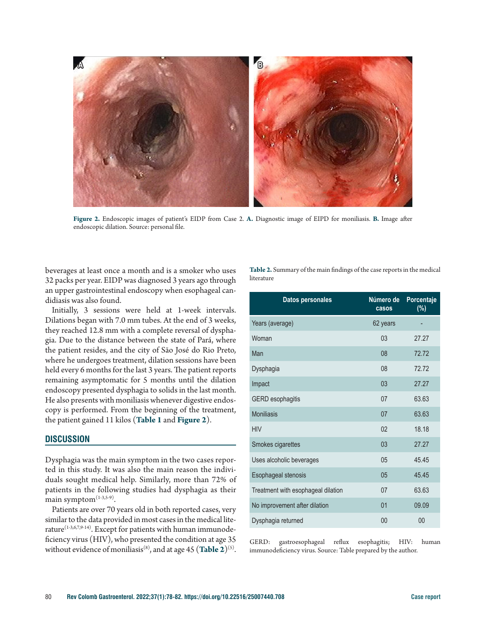

**Figure 2.** Endoscopic images of patient's EIDP from Case 2. **A.** Diagnostic image of EIPD for moniliasis. **B.** Image after endoscopic dilation. Source: personal file.

beverages at least once a month and is a smoker who uses 32 packs per year. EIDP was diagnosed 3 years ago through an upper gastrointestinal endoscopy when esophageal candidiasis was also found.

Initially, 3 sessions were held at 1-week intervals. Dilations began with 7.0 mm tubes. At the end of 3 weeks, they reached 12.8 mm with a complete reversal of dysphagia. Due to the distance between the state of Pará, where the patient resides, and the city of São José do Rio Preto, where he undergoes treatment, dilation sessions have been held every 6 months for the last 3 years. The patient reports remaining asymptomatic for 5 months until the dilation endoscopy presented dysphagia to solids in the last month. He also presents with moniliasis whenever digestive endoscopy is performed. From the beginning of the treatment, the patient gained 11 kilos (**Table 1** and **Figure 2**).

#### **DISCUSSION**

Dysphagia was the main symptom in the two cases reported in this study. It was also the main reason the individuals sought medical help. Similarly, more than 72% of patients in the following studies had dysphagia as their main symptom $(1-3,5-9)$ .

Patients are over 70 years old in both reported cases, very similar to the data provided in most cases in the medical literature<sup>(1-3,6,7,9-14)</sup>. Except for patients with human immunodeficiency virus (HIV), who presented the condition at age 35 without evidence of moniliasis<sup>(8)</sup>, and at age 45 (Table 2)<sup>(5)</sup>.

**Table 2.** Summary of the main findings of the case reports in the medical literature

| <b>Datos personales</b>            | Número de<br>casos | Porcentaje<br>(%) |
|------------------------------------|--------------------|-------------------|
| Years (average)                    | 62 years           |                   |
| Woman                              | 03                 | 27.27             |
| Man                                | 08                 | 72.72             |
| Dysphagia                          | 08                 | 72.72             |
| Impact                             | 03                 | 27.27             |
| <b>GERD</b> esophagitis            | 07                 | 63.63             |
| <b>Moniliasis</b>                  | 07                 | 63.63             |
| <b>HIV</b>                         | 02                 | 18.18             |
| Smokes cigarettes                  | 03                 | 27.27             |
| Uses alcoholic beverages           | 05                 | 45.45             |
| Esophageal stenosis                | 0 <sub>5</sub>     | 45.45             |
| Treatment with esophageal dilation | 07                 | 63.63             |
| No improvement after dilation      | 01                 | 09.09             |
| Dysphagia returned                 | 00                 | 00                |

GERD: gastroesophageal reflux esophagitis; HIV: human immunodeficiency virus. Source: Table prepared by the author.